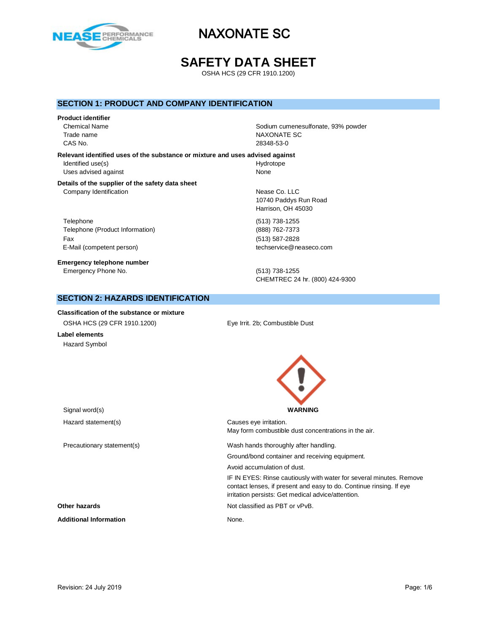

# **SAFETY DATA SHEET**

OSHA HCS (29 CFR 1910.1200)

### **SECTION 1: PRODUCT AND COMPANY IDENTIFICATION**

### **Product identifier**

CAS No. 28348-53-0

Chemical Name Sodium cumenesulfonate, 93% powder Trade name NAXONATE SC

**Relevant identified uses of the substance or mixture and uses advised against** Identified use(s) and the extent of the Hydrotope Hydrotope Uses advised against None

### **Details of the supplier of the safety data sheet** Company Identification **Nearly 19** Nease Co. LLC

Telephone (513) 738-1255 Telephone (Product Information) (888) 762-7373 Fax (513) 587-2828 E-Mail (competent person) example a second techservice@neaseco.com

**Emergency telephone number** Emergency Phone No. (513) 738-1255

10740 Paddys Run Road Harrison, OH 45030

CHEMTREC 24 hr. (800) 424-9300

## **SECTION 2: HAZARDS IDENTIFICATION**

**Classification of the substance or mixture** OSHA HCS (29 CFR 1910.1200) Eye Irrit. 2b; Combustible Dust **Label elements** Hazard Symbol

Signal word(s) **WARNING** Hazard statement(s) example a control control causes eye irritation. May form combustible dust concentrations in the air. Precautionary statement(s) Wash hands thoroughly after handling. Ground/bond container and receiving equipment. Avoid accumulation of dust. IF IN EYES: Rinse cautiously with water for several minutes. Remove contact lenses, if present and easy to do. Continue rinsing. If eye irritation persists: Get medical advice/attention. **Other hazards Other hazards Not classified as PBT or vPvB.** Additional Information **None.** None.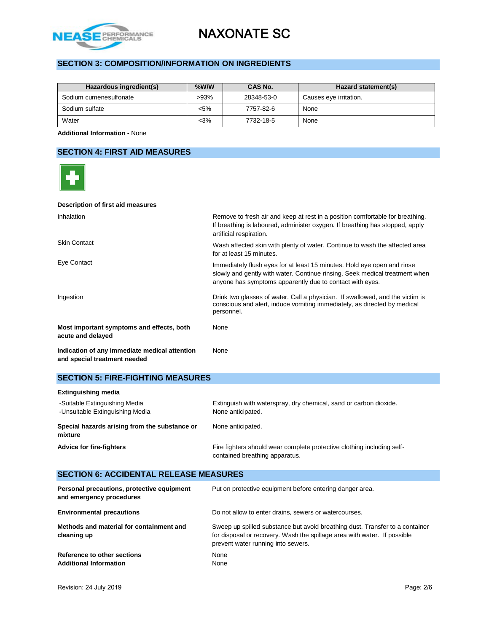

# **SECTION 3: COMPOSITION/INFORMATION ON INGREDIENTS**

| Hazardous ingredient(s) | $%$ W/W | CAS No.    | Hazard statement(s)    |
|-------------------------|---------|------------|------------------------|
| Sodium cumenesulfonate  | $>93\%$ | 28348-53-0 | Causes eye irritation. |
| Sodium sulfate          | $< 5\%$ | 7757-82-6  | None                   |
| Water                   | $<$ 3%  | 7732-18-5  | None                   |

**Additional Information -** None

# **SECTION 4: FIRST AID MEASURES**

| Description of first aid measures                                             |                                                                                                                                                                                                                    |
|-------------------------------------------------------------------------------|--------------------------------------------------------------------------------------------------------------------------------------------------------------------------------------------------------------------|
| Inhalation                                                                    | Remove to fresh air and keep at rest in a position comfortable for breathing.<br>If breathing is laboured, administer oxygen. If breathing has stopped, apply<br>artificial respiration.                           |
| <b>Skin Contact</b>                                                           | Wash affected skin with plenty of water. Continue to wash the affected area<br>for at least 15 minutes.                                                                                                            |
| Eye Contact                                                                   | Immediately flush eyes for at least 15 minutes. Hold eye open and rinse<br>slowly and gently with water. Continue rinsing. Seek medical treatment when<br>anyone has symptoms apparently due to contact with eyes. |
| Ingestion                                                                     | Drink two glasses of water. Call a physician. If swallowed, and the victim is<br>conscious and alert, induce vomiting immediately, as directed by medical<br>personnel.                                            |
| Most important symptoms and effects, both<br>acute and delayed                | None                                                                                                                                                                                                               |
| Indication of any immediate medical attention<br>and special treatment needed | <b>None</b>                                                                                                                                                                                                        |

## **SECTION 5: FIRE-FIGHTING MEASURES**

| <b>Extinguishing media</b>                                       |                                                                                                          |  |  |
|------------------------------------------------------------------|----------------------------------------------------------------------------------------------------------|--|--|
| -Suitable Extinguishing Media<br>-Unsuitable Extinguishing Media | Extinguish with waterspray, dry chemical, sand or carbon dioxide.<br>None anticipated.                   |  |  |
| Special hazards arising from the substance or<br>mixture         | None anticipated.                                                                                        |  |  |
| <b>Advice for fire-fighters</b>                                  | Fire fighters should wear complete protective clothing including self-<br>contained breathing apparatus. |  |  |

## **SECTION 6: ACCIDENTAL RELEASE MEASURES**

| Personal precautions, protective equipment<br>and emergency procedures | Put on protective equipment before entering danger area.                                                                                                                                       |
|------------------------------------------------------------------------|------------------------------------------------------------------------------------------------------------------------------------------------------------------------------------------------|
| <b>Environmental precautions</b>                                       | Do not allow to enter drains, sewers or watercourses.                                                                                                                                          |
| Methods and material for containment and<br>cleaning up                | Sweep up spilled substance but avoid breathing dust. Transfer to a container<br>for disposal or recovery. Wash the spillage area with water. If possible<br>prevent water running into sewers. |
| Reference to other sections<br><b>Additional Information</b>           | None<br>None                                                                                                                                                                                   |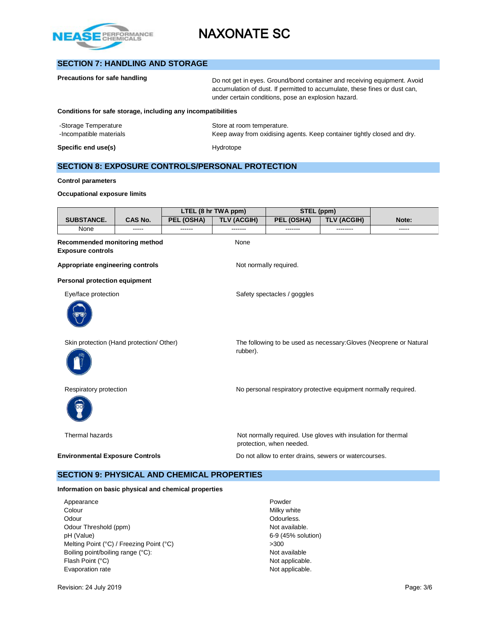

# **SECTION 7: HANDLING AND STORAGE**

| Precautions for safe handling                                | Do not get in eyes. Ground/bond container and receiving equipment. Avoid<br>accumulation of dust. If permitted to accumulate, these fines or dust can,<br>under certain conditions, pose an explosion hazard. |
|--------------------------------------------------------------|---------------------------------------------------------------------------------------------------------------------------------------------------------------------------------------------------------------|
| Conditions for safe storage, including any incompatibilities |                                                                                                                                                                                                               |
| -Storage Temperature<br>-Incompatible materials              | Store at room temperature.<br>Keep away from oxidising agents. Keep container tightly closed and dry.                                                                                                         |
| Specific end use(s)                                          | Hydrotope                                                                                                                                                                                                     |

# **SECTION 8: EXPOSURE CONTROLS/PERSONAL PROTECTION**

### **Control parameters**

### **Occupational exposure limits**

|                                                                  |         |            | LTEL (8 hr TWA ppm)<br>STEL (ppm) |                                                                                           |                    |                                                                    |
|------------------------------------------------------------------|---------|------------|-----------------------------------|-------------------------------------------------------------------------------------------|--------------------|--------------------------------------------------------------------|
| <b>SUBSTANCE.</b>                                                | CAS No. | PEL (OSHA) | <b>TLV (ACGIH)</b>                | PEL (OSHA)                                                                                | <b>TLV (ACGIH)</b> | Note:                                                              |
| None                                                             | -----   |            |                                   |                                                                                           | --------           | -----                                                              |
| <b>Recommended monitoring method</b><br><b>Exposure controls</b> |         |            | None                              |                                                                                           |                    |                                                                    |
| Appropriate engineering controls                                 |         |            |                                   | Not normally required.                                                                    |                    |                                                                    |
| <b>Personal protection equipment</b>                             |         |            |                                   |                                                                                           |                    |                                                                    |
| Eye/face protection                                              |         |            |                                   | Safety spectacles / goggles                                                               |                    |                                                                    |
|                                                                  |         |            |                                   |                                                                                           |                    |                                                                    |
| Skin protection (Hand protection/ Other)                         |         |            | rubber).                          |                                                                                           |                    | The following to be used as necessary: Gloves (Neoprene or Natural |
| Respiratory protection                                           |         |            |                                   | No personal respiratory protective equipment normally required.                           |                    |                                                                    |
| Thermal hazards                                                  |         |            |                                   | Not normally required. Use gloves with insulation for thermal<br>protection, when needed. |                    |                                                                    |
| <b>Environmental Exposure Controls</b>                           |         |            |                                   | Do not allow to enter drains, sewers or watercourses.                                     |                    |                                                                    |
| <b>SECTION 9: PHYSICAL AND CHEMICAL PROPERTIES</b>               |         |            |                                   |                                                                                           |                    |                                                                    |

# **Information on basic physical and chemical properties**

Appearance **Powder** Colour Milky white Odourless. Contact the Contract of the Contract of Contract of Contract of Contract of Contract of Contract of Contract of Contract of Contract of Contract of Contract of Contract of Contract of Contract of Contract of Con Odour Threshold (ppm) Not available. pH (Value) 6-9 (45% solution) Melting Point (°C) / Freezing Point (°C)  $>300$ <br>Boiling point/boiling range (°C):  $\blacksquare$ Boiling point/boiling range (°C): Flash Point (°C) Not applicable. Evaporation rate **Not applicable**.

Revision: 24 July 2019 **Page: 3/6** Page: 3/6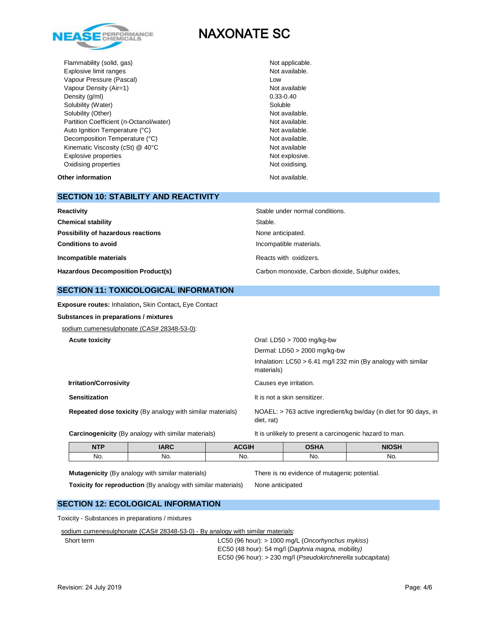

Flammability (solid, gas) Not applicable. Explosive limit ranges **Not available**. Vapour Pressure (Pascal) and the contract of the United States of Low Vapour Density (Air=1) Not available Density (g/ml) 0.33-0.40<br>Solubility (Water) Soluble Solubility (Water) Solubility (Other) Not available. Partition Coefficient (n-Octanol/water) Not available. Auto Ignition Temperature (°C) and the contract of the Not available. Decomposition Temperature (°C) Not available. Kinematic Viscosity (cSt) @ 40°C Not available Not available Explosive properties Not explosive. Oxidising properties Not oxidising.

**Other information Not available. Other information** 

### **SECTION 10: STABILITY AND REACTIVITY**

| Reactivity                                | Stable under normal conditions.                  |  |
|-------------------------------------------|--------------------------------------------------|--|
| <b>Chemical stability</b>                 | Stable.                                          |  |
| Possibility of hazardous reactions        | None anticipated.                                |  |
| <b>Conditions to avoid</b>                | Incompatible materials.                          |  |
| Incompatible materials                    | Reacts with oxidizers.                           |  |
| <b>Hazardous Decomposition Product(s)</b> | Carbon monoxide, Carbon dioxide, Sulphur oxides, |  |

### **SECTION 11: TOXICOLOGICAL INFORMATION**

**Exposure routes:** Inhalation**,** Skin Contact**,** Eye Contact

**Substances in preparations / mixtures**

sodium cumenesulphonate (CAS# 28348-53-0):

| <b>Acute toxicity</b>                                             | Oral: LD50 $>$ 7000 mg/kg-bw                                                    |
|-------------------------------------------------------------------|---------------------------------------------------------------------------------|
|                                                                   | Dermal: $LD50 > 2000$ mg/kg-bw                                                  |
|                                                                   | Inhalation: $LC50 > 6.41$ mg/l 232 min (By analogy with similar<br>materials)   |
| <b>Irritation/Corrosivity</b>                                     | Causes eye irritation.                                                          |
| <b>Sensitization</b>                                              | It is not a skin sensitizer.                                                    |
| <b>Repeated dose toxicity (By analogy with similar materials)</b> | NOAEL: > 763 active ingredient/kg bw/day (in diet for 90 days, in<br>diet, rat) |
| <b>Carcinogenicity</b> (By analogy with similar materials)        | It is unlikely to present a carcinogenic hazard to man.                         |

| <b>NTP</b> | <b>IARC</b> | <b>ACGIH</b> | OCHA<br>JJNA | <b>NIOSH</b> |
|------------|-------------|--------------|--------------|--------------|
| No.        | No.         | No.          | No.          | No.          |

### **Mutagenicity** (By analogy with similar materials) There is no evidence of mutagenic potential.

**Toxicity for reproduction** (By analogy with similar materials) None anticipated

### **SECTION 12: ECOLOGICAL INFORMATION**

Toxicity - Substances in preparations / mixtures

sodium cumenesulphonate (CAS# 28348-53-0) - By analogy with similar materials:

Short term LC50 (96 hour): > 1000 mg/L (*Oncorhynchus mykiss*) EC50 (48 hour): 54 mg/l (*Daphnia magna,* mobility*)*  EC50 (96 hour): > 230 mg/l (*Pseudokirchnerella subcapitata*)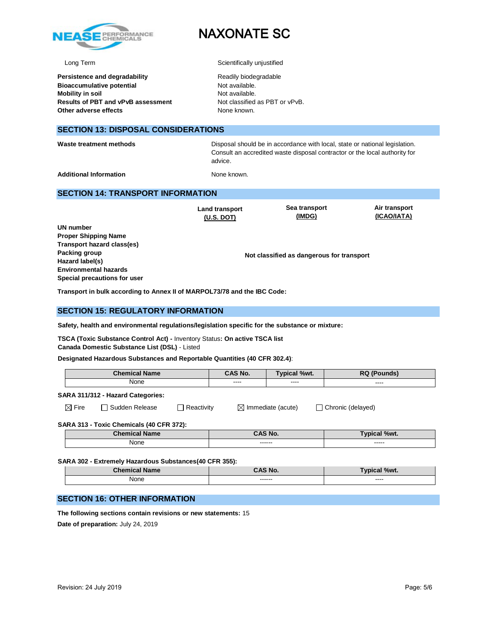

**Persistence and degradability Bioaccumulative potential Mobility in soil Results of PBT and vPvB assessment Other adverse effects** 

# NAXONATE SC

Long Term Scientifically unjustified

| Readily biodegradable          |
|--------------------------------|
| Not available.                 |
| Not available.                 |
| Not classified as PBT or vPvB. |
| None known.                    |

### **SECTION 13: DISPOSAL CONSIDERATIONS**

**Waste treatment methods** Disposal should be in accordance with local, state or national legislation. Consult an accredited waste disposal contractor or the local authority for advice.

> **Air transport (ICAO/IATA)**

Additional Information **None known.** None known.

### **SECTION 14: TRANSPORT INFORMATION**

**Land transport (U.S. DOT) Sea transport (IMDG) UN number Not classified as dangerous for transport Proper Shipping Name Transport hazard class(es) Packing group Hazard label(s) Environmental hazards Special precautions for user**

**Transport in bulk according to Annex II of MARPOL73/78 and the IBC Code:** 

### **SECTION 15: REGULATORY INFORMATION**

**Safety, health and environmental regulations/legislation specific for the substance or mixture:**

**TSCA (Toxic Substance Control Act) -** Inventory Status**: On active TSCA list Canada Domestic Substance List (DSL)** - Listed

**Designated Hazardous Substances and Reportable Quantities (40 CFR 302.4)**:

| <b>Chamir</b><br><b>Name</b> | $\sim$ NA<br>.<br>IV. | %wt.  | DC.   |
|------------------------------|-----------------------|-------|-------|
| None                         |                       |       |       |
|                              | -----                 | ----  | ----- |
|                              | -----                 | _____ | _____ |

**SARA 311/312 - Hazard Categories:**

 $\boxtimes$  Fire  $\Box$  Sudden Release  $\Box$  Reactivity  $\Box$  Immediate (acute)  $\Box$  Chronic (delayed)

### **SARA 313 - Toxic Chemicals (40 CFR 372):**

| <b>Chemical Name</b> | <b>CAS No.</b>    | <b>Typical %wt.</b> |
|----------------------|-------------------|---------------------|
| <b>None</b>          | ------<br>------- | -----<br>------     |

### **SARA 302 - Extremely Hazardous Substances(40 CFR 355):**

| <b>Chemical Name</b>         | AS No.              | al %wt.<br>Tvr<br>sar |
|------------------------------|---------------------|-----------------------|
| None<br>$\sim$ $\sim$ $\sim$ | -------<br>-------- | ----<br>_____         |

## **SECTION 16: OTHER INFORMATION**

**The following sections contain revisions or new statements:** 15 **Date of preparation:** July 24, 2019